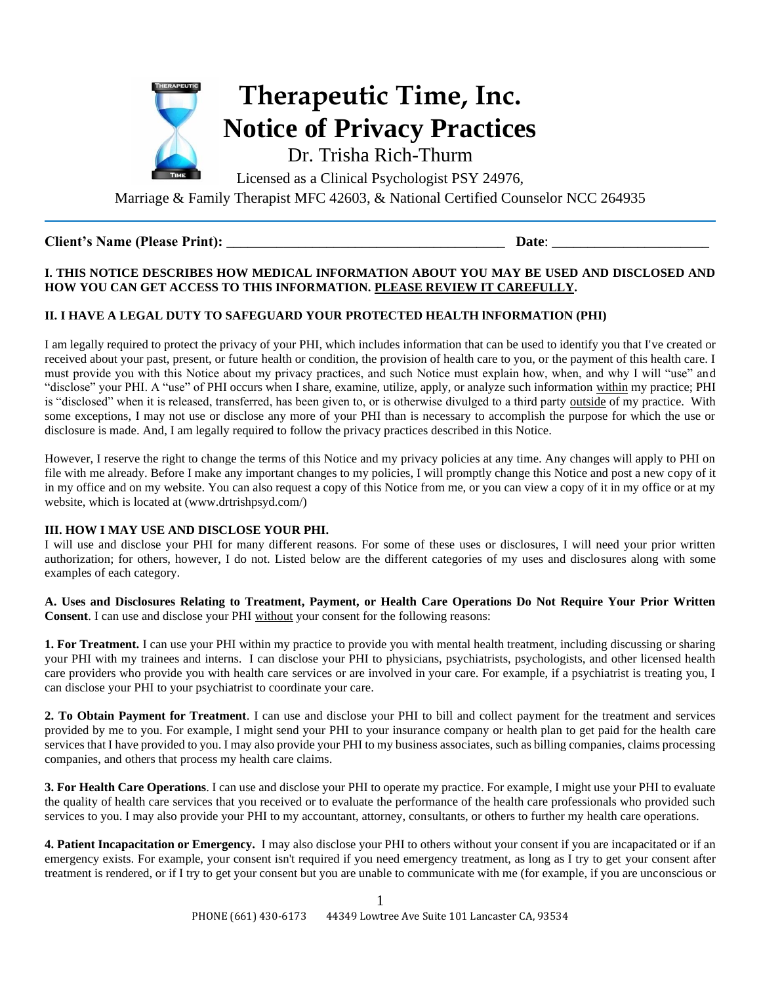

# **Client's Name (Please Print):** \_\_\_\_\_\_\_\_\_\_\_\_\_\_\_\_\_\_\_\_\_\_\_\_\_\_\_\_\_\_\_\_\_\_\_\_\_\_\_ **Date**: \_\_\_\_\_\_\_\_\_\_\_\_\_\_\_\_\_\_\_\_\_\_

## **I. THIS NOTICE DESCRIBES HOW MEDICAL INFORMATION ABOUT YOU MAY BE USED AND DISCLOSED AND HOW YOU CAN GET ACCESS TO THIS INFORMATION. PLEASE REVIEW IT CAREFULLY.**

# **II. I HAVE A LEGAL DUTY TO SAFEGUARD YOUR PROTECTED HEALTH lNFORMATION (PHI)**

I am legally required to protect the privacy of your PHI, which includes information that can be used to identify you that I've created or received about your past, present, or future health or condition, the provision of health care to you, or the payment of this health care. I must provide you with this Notice about my privacy practices, and such Notice must explain how, when, and why I will "use" and "disclose" your PHI. A "use" of PHI occurs when I share, examine, utilize, apply, or analyze such information within my practice; PHI is "disclosed" when it is released, transferred, has been given to, or is otherwise divulged to a third party <u>outside</u> of my practice. With some exceptions, I may not use or disclose any more of your PHI than is necessary to accomplish the purpose for which the use or disclosure is made. And, I am legally required to follow the privacy practices described in this Notice.

However, I reserve the right to change the terms of this Notice and my privacy policies at any time. Any changes will apply to PHI on file with me already. Before I make any important changes to my policies, I will promptly change this Notice and post a new copy of it in my office and on my website. You can also request a copy of this Notice from me, or you can view a copy of it in my office or at my website, which is located at (www.drtrishpsyd.com/)

### **III. HOW I MAY USE AND DISCLOSE YOUR PHI.**

I will use and disclose your PHI for many different reasons. For some of these uses or disclosures, I will need your prior written authorization; for others, however, I do not. Listed below are the different categories of my uses and disclosures along with some examples of each category.

**A. Uses and Disclosures Relating to Treatment, Payment, or Health Care Operations Do Not Require Your Prior Written Consent**. I can use and disclose your PHI without your consent for the following reasons:

**1. For Treatment.** I can use your PHI within my practice to provide you with mental health treatment, including discussing or sharing your PHI with my trainees and interns. I can disclose your PHI to physicians, psychiatrists, psychologists, and other licensed health care providers who provide you with health care services or are involved in your care. For example, if a psychiatrist is treating you, I can disclose your PHI to your psychiatrist to coordinate your care.

**2. To Obtain Payment for Treatment**. I can use and disclose your PHI to bill and collect payment for the treatment and services provided by me to you. For example, I might send your PHI to your insurance company or health plan to get paid for the health care services that I have provided to you. I may also provide your PHI to my business associates, such as billing companies, claims processing companies, and others that process my health care claims.

**3. For Health Care Operations**. I can use and disclose your PHI to operate my practice. For example, I might use your PHI to evaluate the quality of health care services that you received or to evaluate the performance of the health care professionals who provided such services to you. I may also provide your PHI to my accountant, attorney, consultants, or others to further my health care operations.

**4. Patient Incapacitation or Emergency.** I may also disclose your PHI to others without your consent if you are incapacitated or if an emergency exists. For example, your consent isn't required if you need emergency treatment, as long as I try to get your consent after treatment is rendered, or if I try to get your consent but you are unable to communicate with me (for example, if you are unconscious or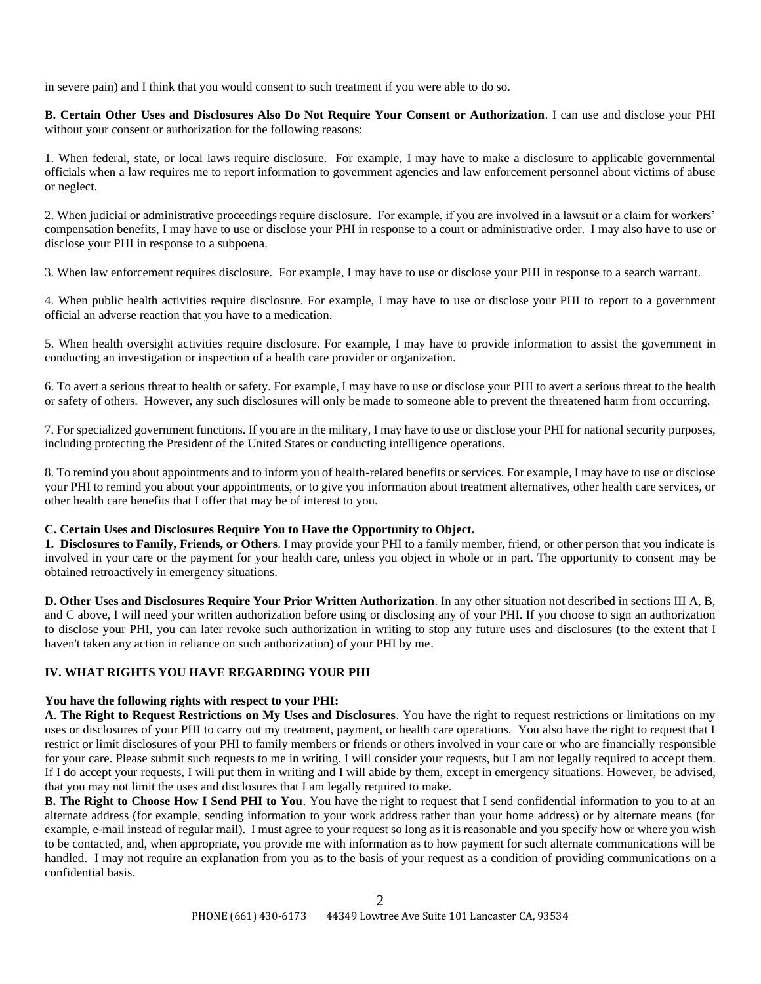in severe pain) and I think that you would consent to such treatment if you were able to do so.

**B. Certain Other Uses and Disclosures Also Do Not Require Your Consent or Authorization**. I can use and disclose your PHI without your consent or authorization for the following reasons:

1. When federal, state, or local laws require disclosure. For example, I may have to make a disclosure to applicable governmental officials when a law requires me to report information to government agencies and law enforcement personnel about victims of abuse or neglect.

2. When judicial or administrative proceedings require disclosure. For example, if you are involved in a lawsuit or a claim for workers' compensation benefits, I may have to use or disclose your PHI in response to a court or administrative order. I may also have to use or disclose your PHI in response to a subpoena.

3. When law enforcement requires disclosure. For example, I may have to use or disclose your PHI in response to a search warrant.

4. When public health activities require disclosure. For example, I may have to use or disclose your PHI to report to a government official an adverse reaction that you have to a medication.

5. When health oversight activities require disclosure. For example, I may have to provide information to assist the government in conducting an investigation or inspection of a health care provider or organization.

6. To avert a serious threat to health or safety. For example, I may have to use or disclose your PHI to avert a serious threat to the health or safety of others. However, any such disclosures will only be made to someone able to prevent the threatened harm from occurring.

7. For specialized government functions. If you are in the military, I may have to use or disclose your PHI for national security purposes, including protecting the President of the United States or conducting intelligence operations.

8. To remind you about appointments and to inform you of health-related benefits or services. For example, I may have to use or disclose your PHI to remind you about your appointments, or to give you information about treatment alternatives, other health care services, or other health care benefits that I offer that may be of interest to you.

### **C. Certain Uses and Disclosures Require You to Have the Opportunity to Object.**

**1. Disclosures to Family, Friends, or Others**. I may provide your PHI to a family member, friend, or other person that you indicate is involved in your care or the payment for your health care, unless you object in whole or in part. The opportunity to consent may be obtained retroactively in emergency situations.

**D. Other Uses and Disclosures Require Your Prior Written Authorization**. In any other situation not described in sections III A, B, and C above, I will need your written authorization before using or disclosing any of your PHI. If you choose to sign an authorization to disclose your PHI, you can later revoke such authorization in writing to stop any future uses and disclosures (to the extent that I haven't taken any action in reliance on such authorization) of your PHI by me.

### **IV. WHAT RIGHTS YOU HAVE REGARDING YOUR PHI**

#### **You have the following rights with respect to your PHI:**

**A**. **The Right to Request Restrictions on My Uses and Disclosures**. You have the right to request restrictions or limitations on my uses or disclosures of your PHI to carry out my treatment, payment, or health care operations. You also have the right to request that I restrict or limit disclosures of your PHI to family members or friends or others involved in your care or who are financially responsible for your care. Please submit such requests to me in writing. I will consider your requests, but I am not legally required to accept them. If I do accept your requests, I will put them in writing and I will abide by them, except in emergency situations. However, be advised, that you may not limit the uses and disclosures that I am legally required to make.

**B. The Right to Choose How I Send PHI to You**. You have the right to request that I send confidential information to you to at an alternate address (for example, sending information to your work address rather than your home address) or by alternate means (for example, e-mail instead of regular mail). I must agree to your request so long as it is reasonable and you specify how or where you wish to be contacted, and, when appropriate, you provide me with information as to how payment for such alternate communications will be handled. I may not require an explanation from you as to the basis of your request as a condition of providing communications on a confidential basis.